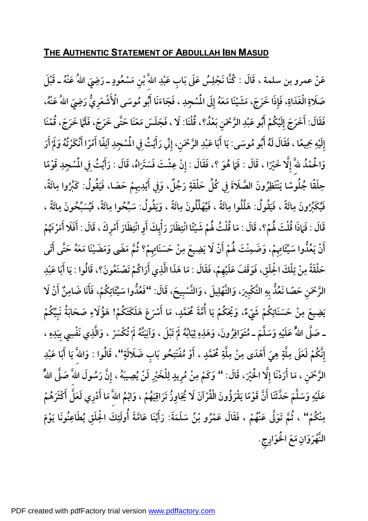## **THE AUTHENTIC STATEMENT OF ABDULLAH IBN MASUD**

عَنْ عمرو بن سلمة ، قَالَ : كُنَّا نَجْلِسُ عَلَى بَابِ عَبْدِ اللَّهَ ّبْنِ مَسْعُودٍ **ْ ِ**كُنَّا نَجْلِسُ عَلَى بَابِ عَبْدِ اللهَ<sup>ّ</sup> بْنِ مَسْعُودٍ ـ رَضِيَ اللهُ عَنْهُ ـ قَبْلَ صَلَاةِ الْغَدَاةِ، فَإِذَا خَرَجَ، مَشَيْنَا مَعَهُ إِلَى الْمُسْجِدِ ، فَجَاءَنَا أَبُو مُوسَى الْأَشْعَرِيُّ رَضِيَ اللهُ عَنْهُ، فَقَالَ: أَخَرَجَ إِلَيْكُمْ أَبُو عَبْدِ الرَّحْمَنِ بَعْدُ؟، قُلْنَا: لَا ، فَجَلَسَ مَعَنَا حَتَّى خَرَجَ، فَلَمَا خَرَجَ، قُمْنَا **ْ ِ**إِلَيْهِ جَمِيعًا ، فَقَالَ لَهُ أَبُو مُوسَى: يَا أَبَا عَبْدِ الرَّحْمَنِ، إِنِّي رَأَيْتُ فِي المُسْجِدِ آنِفًا أَمْرًا أَنْكَرْتُهُ وَلَمْ أَرَ **ِْ ِ**وَالْحَمْدُ للَّهَ إِلَّا خَيْرًا ، قَالَ : فَمَا هُوَ ؟، فَقَالَ : إِنْ عِشْتَ فَسَتَرَاهُ، قَالَ : رَأَيْتُ فِي المُسْجِدِ قَوْمًا حِلَقًا جُلُوسًا يَنْتَظِرُونَ الصَّلَاةَ فِي كُلِّ حَلْقَةٍ رَجُلٌ، وَفِي أَيْدِيهِمْ حَصَا، فَيَقُولُ: كَبِّرُوا مِائَةً، فَيُكَبِّرُونَ مِائَةً ، فَيَقُولُ: هَلِّلُوا مِائَةً ، فَيُهَلِّلُونَ مِائَةً ، وَيَقُولُ: سَبِّحُوا مِائَةً، فَيُسَبِّحُونَ مِائَةً ، قَالَ : فَمَاذَا قُلْتَ لَهُمْ؟، قَالَ : مَا قُلْتُ لَهُمْ شَيْئًا انْتِظَارَ رَأْيِكَ أَوِ انْتِظَارَ أَمْرِكَ ، قَالَ : أَفَلَا أَمَرْتَهُمْ **ْ** أَنْ يَعُلُّوا سَيِّئَاتِهِمْ، وَضَمِنْتَ لَهُمْ أَنْ لَا يَضِيعَ مِنْ حَسَنَاتِهِمْ؟ ثُمَّ مَضَى وَمَضَيْنَا مَعَهُ حَتَّى أَتَى **ْ** حَلْقَةً مِنْ تِلْكَ الْحِلَقِ، فَوَقَفَ عَلَيْهِمْ، فَقَالَ : مَا هَذَا الَّذِي أَرَاكُمْ تَصْنَعُونَ؟، قَالُوا : يَا أَبَا عَبْدِ **ا** الرَّحْمَنِ حَصًا نَعُدُّ بِهِ التَّكْبِيرَ، وَالتَّهْلِيلَ ، وَالتَّسْبِيحَ، قَالَ: ''فَعُدُّوا سَيِّئَاتِكُمْ، فَأَنَا ضَامِنٌ **ِِ َنا َضام ، َفأ ْنَلا َ َ أ** يَضِيعَ مِنْ حَسَنَاتِكُمْ شَيْءٌ، وَيُحَكُمْ يَا أُمَّةَ مُحَمَّدٍ، مَا أَسْرَعَ هَلَكَتَكُمْ! هَؤُلَاءِ صَحَابَةُ نَبِيِّكُمْ ـ صَلَّى اللهُ عَلَيْهِ وَسَلَّمَ ـ مُتَوَافِرُونَ، وَهَذِهِ ثِيَابُهُ لَمْ تَبْلَ ، وَآنِيَتُهُ لَمْ تُكْسَرْ ، وَالَّذِي نَفْسِي بِيَدِهِ ، **ْ ْ ْ ٍ ِ اب َضَلاَلة َ حو ب ُ ِ ْفَتت ُ ْو م َ ، أ ٍ مد محَّ َ ُ** إِنَّكُمْ لَعَلَى مِلَّةٍ هِيَ أَهْدَى مِنْ مِلَّةِ مُحَمَّدٍ ، أَوْ مُفْتَنِحُو بَابِ ضَلَالَةٍ''، قَالُوا : وَاللَّهَ يَا أَبَا عَبْدِ الرَّحْمَنِ ، مَا أَرَدْنَا إِلَّا الْحَيْرَ، قَالَ: '' وَكَمْ مِنْ مُرِيدٍ لِلْخَيْرِ لَنْ يُصِيبَهُ ، إِنَّ رَسُولَ اللهَّ صَلَّى اللهُ عَلَيْهِ وَسَلَّمَ حَدَّثَنَا أَنَّ قَوْمًا يَقْرَؤُونَ الْقُرْآنَ لَا يُجَاوِزُ تَرَاقِيَهُمْ ، وَايْمُ اللّهَ مَا أَدْرِي لَعَلَّ أَكْثَرَهُمْ مِنْكُمْ'' ، ثُمَّ تَوَلَّى عَنْهُمْ ، فَقَالَ عَمْرُو بْنُ سَلَمَةَ: رَأَيْنَا عَامَّةَ أُولَئِكَ الْحِلَقِ يُطَاعِنُونَا يَوْمَ **َْلخَوارِجِ َ َع ا م ِ َّْهَرَوان . الن**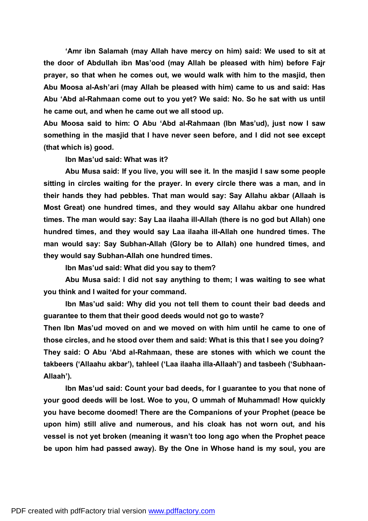**'Amr ibn Salamah (may Allah have mercy on him) said: We used to sit at the door of Abdullah ibn Mas'ood (may Allah be pleased with him) before Fajr prayer, so that when he comes out, we would walk with him to the masjid, then Abu Moosa al-Ash'ari (may Allah be pleased with him) came to us and said: Has Abu 'Abd al-Rahmaan come out to you yet? We said: No. So he sat with us until he came out, and when he came out we all stood up.**

**Abu Moosa said to him: O Abu 'Abd al-Rahmaan (Ibn Mas'ud), just now I saw something in the masjid that I have never seen before, and I did not see except (that which is) good.** 

**Ibn Mas'ud said: What was it?** 

**Abu Musa said: If you live, you will see it. In the masjid I saw some people sitting in circles waiting for the prayer. In every circle there was a man, and in their hands they had pebbles. That man would say: Say Allahu akbar (Allaah is Most Great) one hundred times, and they would say Allahu akbar one hundred times. The man would say: Say Laa ilaaha ill-Allah (there is no god but Allah) one hundred times, and they would say Laa ilaaha ill-Allah one hundred times. The man would say: Say Subhan-Allah (Glory be to Allah) one hundred times, and they would say Subhan-Allah one hundred times.** 

**Ibn Mas'ud said: What did you say to them?** 

**Abu Musa said: I did not say anything to them; I was waiting to see what you think and I waited for your command.** 

**Ibn Mas'ud said: Why did you not tell them to count their bad deeds and guarantee to them that their good deeds would not go to waste?** 

**Then Ibn Mas'ud moved on and we moved on with him until he came to one of those circles, and he stood over them and said: What is this that I see you doing? They said: O Abu 'Abd al-Rahmaan, these are stones with which we count the takbeers ('Allaahu akbar'), tahleel ('Laa ilaaha illa-Allaah') and tasbeeh ('Subhaan-Allaah').** 

**Ibn Mas'ud said: Count your bad deeds, for I guarantee to you that none of your good deeds will be lost. Woe to you, O ummah of Muhammad! How quickly you have become doomed! There are the Companions of your Prophet (peace be upon him) still alive and numerous, and his cloak has not worn out, and his vessel is not yet broken (meaning it wasn't too long ago when the Prophet peace be upon him had passed away). By the One in Whose hand is my soul, you are**